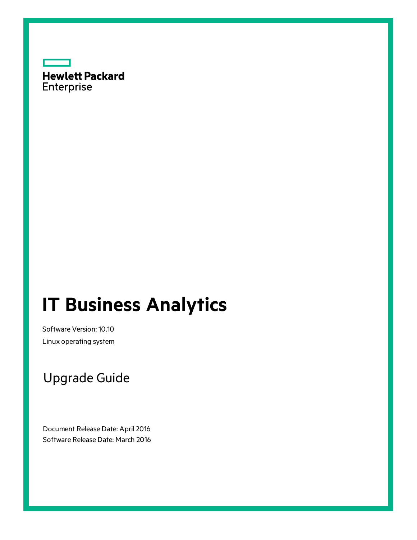

# **IT Business Analytics**

Software Version: 10.10 Linux operating system

# Upgrade Guide

Document Release Date: April 2016 Software Release Date: March 2016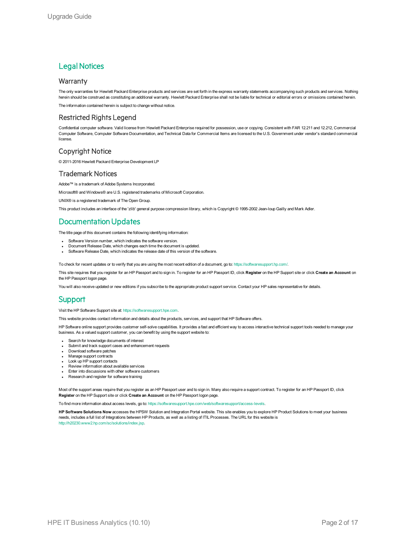### **Legal Notices**

#### **Warranty**

The only warranties for Hewlett Packard Enterprise products and services are set forth in the express warranty statements accompanying such products and services. Nothing herein should be construed as constituting an additional warranty. Hewlett Packard Enterprise shall not be liable for technical or editorial errors or omissions contained herein.

The information contained herein is subject to change without notice.

#### Restricted Rights Legend

Confidential computer software. Valid license from Hewlett Packard Enterprise required for possession, use or copying. Consistent with FAR 12.211 and 12.212, Commercial Computer Software, Computer Software Documentation, and Technical Data for Commercial Items are licensed to the U.S. Government under vendor's standard commercial license.

#### Copyright Notice

© 2011-2016 Hewlett Packard Enterprise Development LP

#### Trademark Notices

Adobe™ is a trademark of Adobe Systems Incorporated.

Microsoft® and Windows® are U.S. registered trademarks of Microsoft Corporation.

UNIX<sup>®</sup> is a registered trademark of The Open Group.

This product includes an interface of the 'zlib' general purpose compression library, which is Copyright © 1995-2002 Jean-loup Gailly and Mark Adler.

### Documentation Updates

The title page of this document contains the following identifying information:

- Software Version number, which indicates the software version.
- Document Release Date, which changes each time the document is updated.
- Software Release Date, which indicates the release date of this version of the software.

To check for recent updates or to verify that you are using the most recent edition of a document, go to: <https://softwaresupport.hp.com/>.

This site requires that you register for an HP Passport and to sign in. To register for an HP Passport ID, click **Register** on the HP Support site or click **Create an Account** on the HP Passport logon page.

You will also receive updated or new editions if you subscribe to the appropriate product support service. Contact your HP sales representative for details.

### **Support**

Visit the HP Software Support site at: [https://softwaresupport.hpe.com](https://softwaresupport.hpe.com/).

This website provides contact information and details about the products, services, and support that HP Software offers.

HP Software online support provides customer self-solve capabilities. It provides a fast and efficient way to access interactive technical support tools needed to manage your business. As a valued support customer, you can benefit by using the support website to:

- Search for knowledge documents of interest
- Submit and track support cases and enhancement requests
- Download software patches • Manage support contracts
- Look up HP support contacts
- **Review information about available services**
- Enter into discussions with other software customers
- Research and register for software training

Most of the support areas require that you register as an HP Passport user and to sign in. Many also require a support contract. To register for an HP Passport ID, click **Register** on the HP Support site or click **Create an Account** on the HP Passport logon page.

To find more information about access levels, go to: <https://softwaresupport.hpe.com/web/softwaresupport/access-levels>.

**HP Software Solutions Now** accesses the HPSW Solution and Integration Portal website. This site enables you to explore HP Product Solutions to meet your business needs, includes a full list of Integrations between HP Products, as well as a listing of ITIL Processes. The URL for this website is [http://h20230.www2.hp.com/sc/solutions/index.jsp.](http://h20230.www2.hp.com/sc/solutions/index.jsp)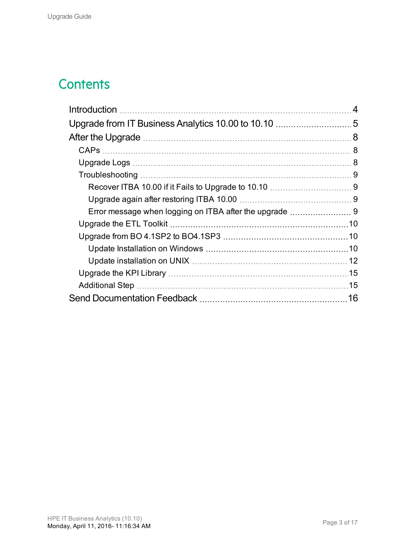# **Contents**

| 4  |
|----|
|    |
|    |
|    |
|    |
|    |
|    |
|    |
|    |
|    |
|    |
|    |
|    |
|    |
|    |
| 16 |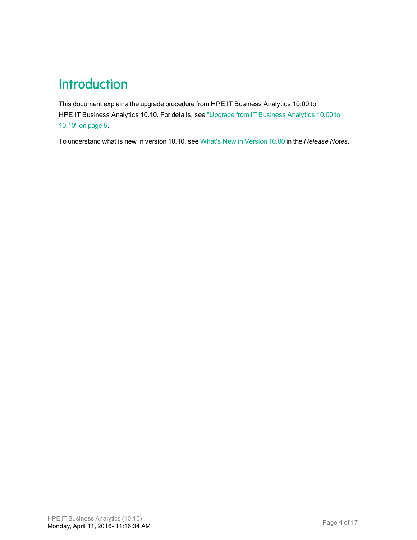# <span id="page-3-0"></span>**Introduction**

This document explains the upgrade procedure from HPE IT Business Analytics 10.00 to HPE IT Business Analytics 10.10. For details, see "Upgrade from [IT Business](#page-4-0) Analytics 10.00 to [10.10"](#page-4-0) on page 5.

To understand what is new in version 10.10, see What's New in Version 10.00 in the *Release Notes*.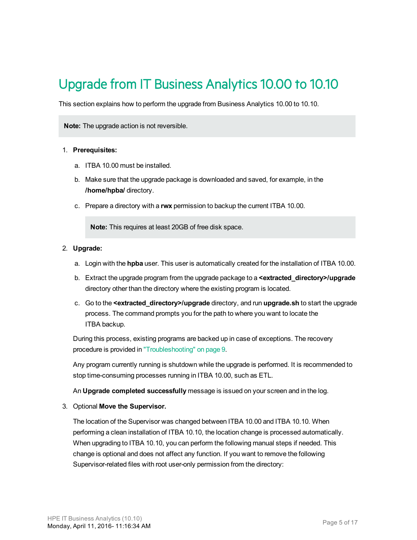# <span id="page-4-0"></span>Upgrade from IT Business Analytics 10.00 to 10.10

This section explains how to perform the upgrade from Business Analytics 10.00 to 10.10.

**Note:** The upgrade action is not reversible.

#### 1. **Prerequisites:**

- a. ITBA 10.00 must be installed.
- b. Make sure that the upgrade package is downloaded and saved, for example, in the **/home/hpba/** directory.
- c. Prepare a directory with a **rwx** permission to backup the current ITBA 10.00.

**Note:** This requires at least 20GB of free disk space.

#### 2. **Upgrade:**

- a. Login with the **hpba** user. This user is automatically created for the installation of ITBA 10.00.
- b. Extract the upgrade program from the upgrade package to a **<extracted\_directory>/upgrade** directory other than the directory where the existing program is located.
- c. Go to the **<extracted\_directory>/upgrade** directory, and run **upgrade.sh** to start the upgrade process. The command prompts you for the path to where you want to locate the ITBA backup.

During this process, existing programs are backed up in case of exceptions. The recovery procedure is provided in ["Troubleshooting"](#page-8-0) on page 9.

Any program currently running is shutdown while the upgrade is performed. It is recommended to stop time-consuming processes running in ITBA 10.00, such as ETL.

An **Upgrade completed successfully** message is issued on your screen and in the log.

3. Optional **Move the Supervisor.**

The location of the Supervisor was changed between ITBA 10.00 and ITBA 10.10. When performing a clean installation of ITBA 10.10, the location change is processed automatically. When upgrading to ITBA 10.10, you can perform the following manual steps if needed. This change is optional and does not affect any function. If you want to remove the following Supervisor-related files with root user-only permission from the directory: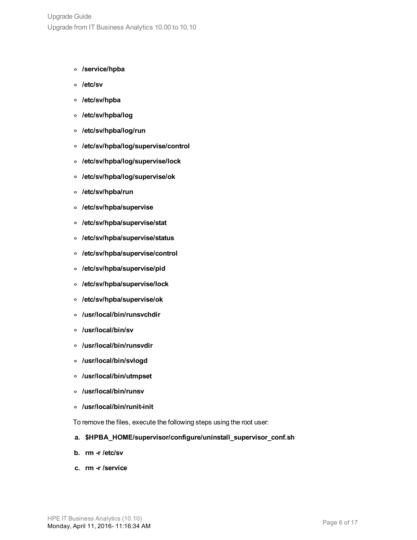- **<sup>o</sup> /service/hpba**
- **<sup>o</sup> /etc/sv**
- **<sup>o</sup> /etc/sv/hpba**
- **<sup>o</sup> /etc/sv/hpba/log**
- **<sup>o</sup> /etc/sv/hpba/log/run**
- **<sup>o</sup> /etc/sv/hpba/log/supervise/control**
- **<sup>o</sup> /etc/sv/hpba/log/supervise/lock**
- **<sup>o</sup> /etc/sv/hpba/log/supervise/ok**
- **<sup>o</sup> /etc/sv/hpba/run**
- **<sup>o</sup> /etc/sv/hpba/supervise**
- **<sup>o</sup> /etc/sv/hpba/supervise/stat**
- **<sup>o</sup> /etc/sv/hpba/supervise/status**
- **<sup>o</sup> /etc/sv/hpba/supervise/control**
- **<sup>o</sup> /etc/sv/hpba/supervise/pid**
- **<sup>o</sup> /etc/sv/hpba/supervise/lock**
- **<sup>o</sup> /etc/sv/hpba/supervise/ok**
- **<sup>o</sup> /usr/local/bin/runsvchdir**
- **<sup>o</sup> /usr/local/bin/sv**
- **<sup>o</sup> /usr/local/bin/runsvdir**
- **<sup>o</sup> /usr/local/bin/svlogd**
- **<sup>o</sup> /usr/local/bin/utmpset**
- **<sup>o</sup> /usr/local/bin/runsv**
- **<sup>o</sup> /usr/local/bin/runit-init**

To remove the files, execute the following steps using the root user:

- **a. \$HPBA\_HOME/supervisor/configure/uninstall\_supervisor\_conf.sh**
- **b. rm -r /etc/sv**
- **c. rm -r /service**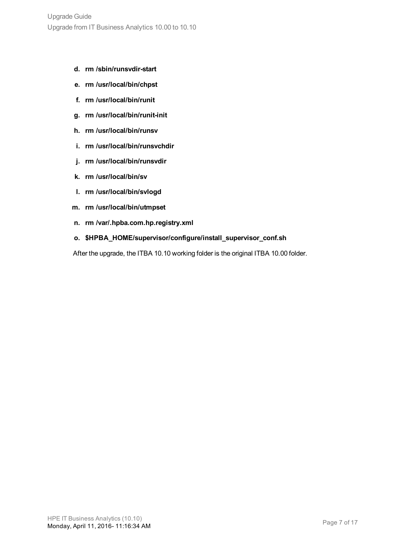- **d. rm /sbin/runsvdir-start**
- **e. rm /usr/local/bin/chpst**
- **f. rm /usr/local/bin/runit**
- **g. rm /usr/local/bin/runit-init**
- **h. rm /usr/local/bin/runsv**
- **i. rm /usr/local/bin/runsvchdir**
- **j. rm /usr/local/bin/runsvdir**
- **k. rm /usr/local/bin/sv**
- **l. rm /usr/local/bin/svlogd**
- **m. rm /usr/local/bin/utmpset**
- **n. rm /var/.hpba.com.hp.registry.xml**
- **o. \$HPBA\_HOME/supervisor/configure/install\_supervisor\_conf.sh**

After the upgrade, the ITBA 10.10 working folder is the original ITBA 10.00 folder.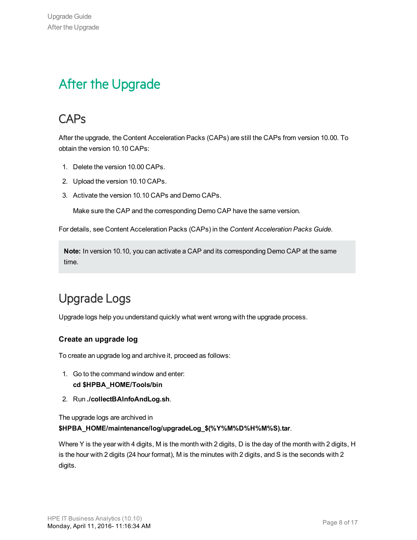# <span id="page-7-0"></span>After the Upgrade

### <span id="page-7-1"></span>**CAPs**

After the upgrade, the Content Acceleration Packs (CAPs) are still the CAPs from version 10.00. To obtain the version 10.10 CAPs:

- 1. Delete the version 10.00 CAPs.
- 2. Upload the version 10.10 CAPs.
- 3. Activate the version 10.10 CAPs and Demo CAPs.

Make sure the CAP and the corresponding Demo CAP have the same version.

For details, see Content Acceleration Packs (CAPs) in the *Content Acceleration Packs Guide*.

**Note:** In version 10.10, you can activate a CAP and its corresponding Demo CAP at the same time.

# <span id="page-7-2"></span>Upgrade Logs

Upgrade logs help you understand quickly what went wrong with the upgrade process.

#### **Create an upgrade log**

To create an upgrade log and archive it, proceed as follows:

- 1. Go to the command window and enter: **cd \$HPBA\_HOME/Tools/bin**
- 2. Run **./collectBAInfoAndLog.sh**.

The upgrade logs are archived in

**\$HPBA\_HOME/maintenance/log/upgradeLog\_\$(%Y%M%D%H%M%S).tar**.

Where Y is the year with 4 digits, M is the month with 2 digits, D is the day of the month with 2 digits, H is the hour with 2 digits (24 hour format), M is the minutes with 2 digits, and S is the seconds with 2 digits.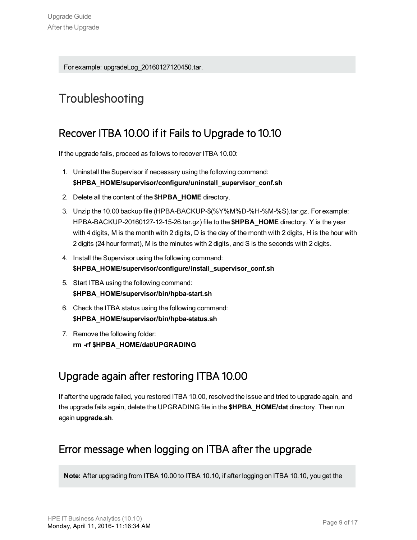For example: upgradeLog\_20160127120450.tar.

### <span id="page-8-1"></span><span id="page-8-0"></span>**Troubleshooting**

### Recover ITBA 10.00 if it Fails to Upgrade to 10.10

If the upgrade fails, proceed as follows to recover ITBA 10.00:

- 1. Uninstall the Supervisor if necessary using the following command: **\$HPBA\_HOME/supervisor/configure/uninstall\_supervisor\_conf.sh**
- 2. Delete all the content of the **\$HPBA\_HOME** directory.
- 3. Unzip the 10.00 backup file (HPBA-BACKUP-\$(%Y%M%D-%H-%M-%S).tar.gz. For example: HPBA-BACKUP-20160127-12-15-26.tar.gz) file to the **\$HPBA\_HOME** directory. Y is the year with 4 digits, M is the month with 2 digits, D is the day of the month with 2 digits, H is the hour with 2 digits (24 hour format), M is the minutes with 2 digits, and S is the seconds with 2 digits.
- 4. Install the Supervisor using the following command: **\$HPBA\_HOME/supervisor/configure/install\_supervisor\_conf.sh**
- 5. Start ITBA using the following command: **\$HPBA\_HOME/supervisor/bin/hpba-start.sh**
- 6. Check the ITBA status using the following command: **\$HPBA\_HOME/supervisor/bin/hpba-status.sh**
- 7. Remove the following folder: **rm -rf \$HPBA\_HOME/dat/UPGRADING**

### <span id="page-8-2"></span>Upgrade again after restoring ITBA 10.00

If after the upgrade failed, you restored ITBA 10.00, resolved the issue and tried to upgrade again, and the upgrade fails again, delete the UPGRADING file in the **\$HPBA\_HOME/dat** directory. Then run again **upgrade.sh**.

### <span id="page-8-3"></span>Error message when logging on ITBA after the upgrade

**Note:** After upgrading from ITBA 10.00 to ITBA 10.10, if after logging on ITBA 10.10, you get the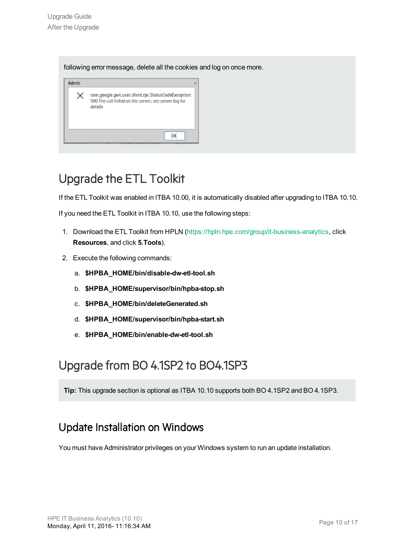following error message, delete all the cookies and log on once more.

| com.google.gwt.user.client.rpc.StatusCodeException:<br>500 The call failed on the server; see server log for<br>detalls |
|-------------------------------------------------------------------------------------------------------------------------|
| ΩK                                                                                                                      |

### <span id="page-9-0"></span>Upgrade the ETL Toolkit

If the ETL Toolkit was enabled in ITBA 10.00, it is automatically disabled after upgrading to ITBA 10.10.

If you need the ETL Toolkit in ITBA 10.10, use the following steps:

- 1. Download the ETL Toolkit from HPLN [\(https://hpln.hpe.com/group/it-business-analytics](https://hpln.hp.com/group/it-business-analytics), click **Resources**, and click **5.Tools**).
- 2. Execute the following commands:
	- a. **\$HPBA\_HOME/bin/disable-dw-etl-tool.sh**
	- b. **\$HPBA\_HOME/supervisor/bin/hpba-stop.sh**
	- c. **\$HPBA\_HOME/bin/deleteGenerated.sh**
	- d. **\$HPBA\_HOME/supervisor/bin/hpba-start.sh**
	- e. **\$HPBA\_HOME/bin/enable-dw-etl-tool.sh**

### <span id="page-9-1"></span>Upgrade from BO 4.1SP2 to BO4.1SP3

<span id="page-9-2"></span>**Tip:** This upgrade section is optional as ITBA 10.10 supports both BO 4.1SP2 and BO 4.1SP3.

### Update Installation on Windows

You must have Administrator privileges on your Windows system to run an update installation.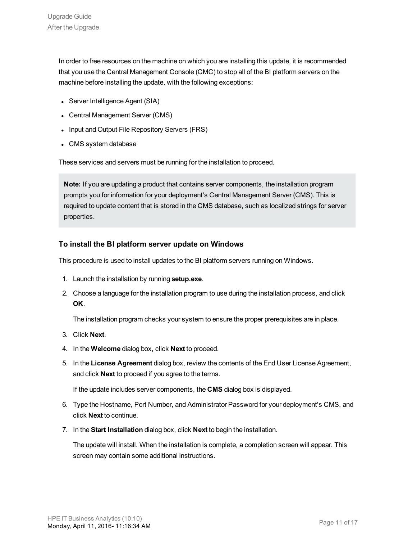In order to free resources on the machine on which you are installing this update, it is recommended that you use the Central Management Console (CMC) to stop all of the BI platform servers on the machine before installing the update, with the following exceptions:

- Server Intelligence Agent (SIA)
- Central Management Server (CMS)
- Input and Output File Repository Servers (FRS)
- CMS system database

These services and servers must be running for the installation to proceed.

**Note:** If you are updating a product that contains server components, the installation program prompts you for information for your deployment's Central Management Server (CMS). This is required to update content that is stored in the CMS database, such as localized strings for server properties.

#### **To install the BI platform server update on Windows**

This procedure is used to install updates to the BI platform servers running on Windows.

- 1. Launch the installation by running **setup.exe**.
- 2. Choose a language for the installation program to use during the installation process, and click **OK**.

The installation program checks your system to ensure the proper prerequisites are in place.

- 3. Click **Next**.
- 4. In the **Welcome** dialog box, click **Next** to proceed.
- 5. In the **License Agreement** dialog box, review the contents of the End User License Agreement, and click **Next** to proceed if you agree to the terms.

If the update includes server components, the **CMS** dialog box is displayed.

- 6. Type the Hostname, Port Number, and Administrator Password for your deployment's CMS, and click **Next** to continue.
- 7. In the **Start Installation** dialog box, click **Next** to begin the installation.

The update will install. When the installation is complete, a completion screen will appear. This screen may contain some additional instructions.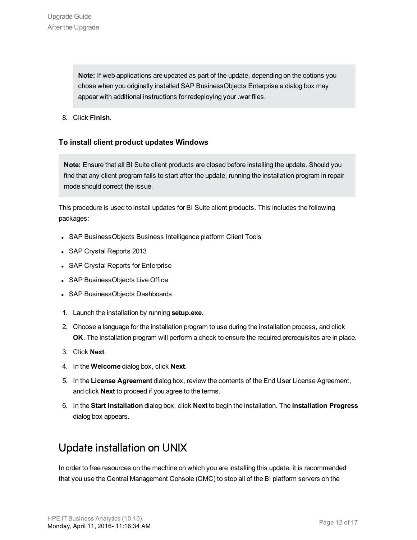**Note:** If web applications are updated as part of the update, depending on the options you chose when you originally installed SAP BusinessObjects Enterprise a dialog box may appear with additional instructions for redeploying your .war files.

8. Click **Finish**.

#### **To install client product updates Windows**

**Note:** Ensure that all BI Suite client products are closed before installing the update. Should you find that any client program fails to start after the update, running the installation program in repair mode should correct the issue.

This procedure is used to install updates for BI Suite client products. This includes the following packages:

- SAP BusinessObjects Business Intelligence platform Client Tools
- SAP Crystal Reports 2013
- SAP Crystal Reports for Enterprise
- SAP BusinessObjects Live Office
- SAP BusinessObjects Dashboards
- 1. Launch the installation by running **setup.exe**.
- 2. Choose a language for the installation program to use during the installation process, and click **OK**. The installation program will perform a check to ensure the required prerequisites are in place.
- 3. Click **Next**.
- 4. In the **Welcome** dialog box, click **Next**.
- 5. In the **License Agreement** dialog box, review the contents of the End User License Agreement, and click **Next** to proceed if you agree to the terms.
- 6. In the **Start Installation** dialog box, click **Next** to begin the installation. The **Installation Progress** dialog box appears.

### <span id="page-11-0"></span>Update installation on UNIX

In order to free resources on the machine on which you are installing this update, it is recommended that you use the Central Management Console (CMC) to stop all of the BI platform servers on the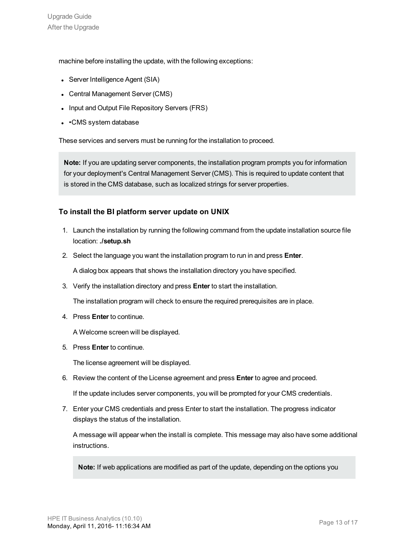machine before installing the update, with the following exceptions:

- Server Intelligence Agent (SIA)
- Central Management Server (CMS)
- Input and Output File Repository Servers (FRS)
- $\cdot$   $\cdot$  CMS system database

These services and servers must be running for the installation to proceed.

**Note:** If you are updating server components, the installation program prompts you for information for your deployment's Central Management Server (CMS). This is required to update content that is stored in the CMS database, such as localized strings for server properties.

#### **To install the BI platform server update on UNIX**

- 1. Launch the installation by running the following command from the update installation source file location: **./setup.sh**
- 2. Select the language you want the installation program to run in and press **Enter**.

A dialog box appears that shows the installation directory you have specified.

3. Verify the installation directory and press **Enter** to start the installation.

The installation program will check to ensure the required prerequisites are in place.

4. Press **Enter** to continue.

A Welcome screen will be displayed.

5. Press **Enter** to continue.

The license agreement will be displayed.

6. Review the content of the License agreement and press **Enter** to agree and proceed.

If the update includes server components, you will be prompted for your CMS credentials.

7. Enter your CMS credentials and press Enter to start the installation. The progress indicator displays the status of the installation.

A message will appear when the install is complete. This message may also have some additional instructions.

**Note:** If web applications are modified as part of the update, depending on the options you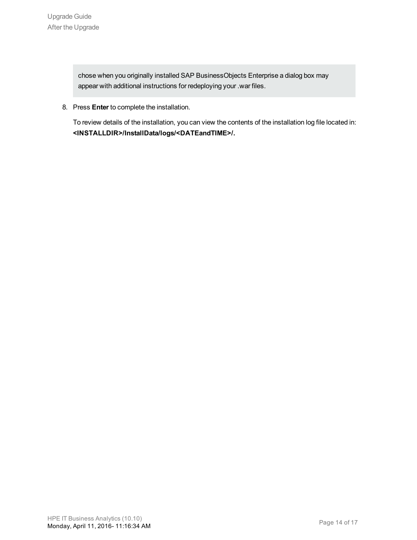chose when you originally installed SAP BusinessObjects Enterprise a dialog box may appear with additional instructions for redeploying your .war files.

8. Press **Enter** to complete the installation.

To review details of the installation, you can view the contents of the installation log file located in: **<INSTALLDIR>/InstallData/logs/<DATEandTIME>/.**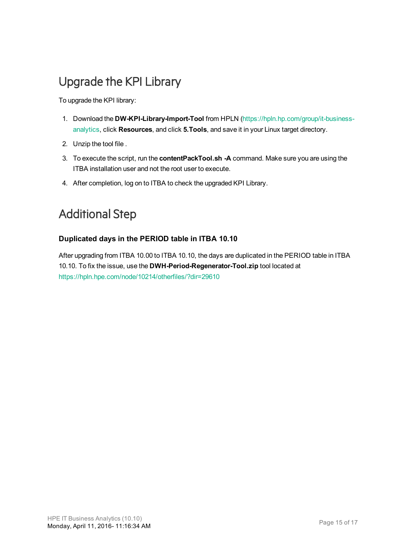### <span id="page-14-0"></span>Upgrade the KPI Library

To upgrade the KPI library:

- 1. Download the **DW-KPI-Library-Import-Tool** from HPLN [\(https://hpln.hp.com/group/it-business](https://hpln.hp.com/group/it-business-analytics)[analytics](https://hpln.hp.com/group/it-business-analytics), click **Resources**, and click **5.Tools**, and save it in your Linux target directory.
- 2. Unzip the tool file .
- 3. To execute the script, run the **contentPackTool.sh -A** command. Make sure you are using the ITBA installation user and not the root user to execute.
- 4. After completion, log on to ITBA to check the upgraded KPI Library.

### <span id="page-14-1"></span>Additional Step

#### **Duplicated days in the PERIOD table in ITBA 10.10**

After upgrading from ITBA 10.00 to ITBA 10.10, the days are duplicated in the PERIOD table in ITBA 10.10. To fix the issue, use the **DWH-Period-Regenerator-Tool.zip** tool located at [https://hpln.hpe.com/node/10214/otherfiles/?dir=29610](https://hpln.hpe.com/node/10214/otherfiles?dir=29610)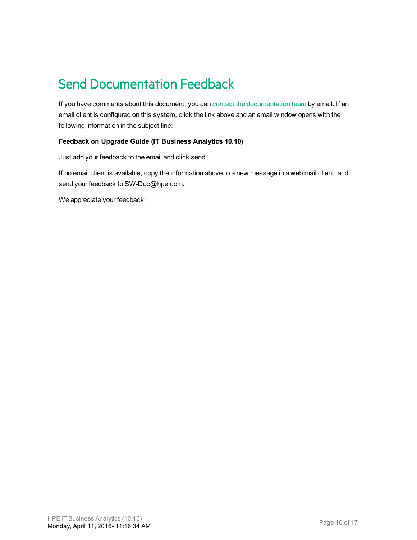# <span id="page-15-0"></span>Send Documentation Feedback

If you have comments about this document, you can contact the [documentation](mailto:SW-Doc@hpe.com?subject=Feedback on Upgrade Guide (ITBusiness Analytics 10.10)) team by email. If an email client is configured on this system, click the link above and an email window opens with the following information in the subject line:

#### **Feedback on Upgrade Guide (IT Business Analytics 10.10)**

Just add your feedback to the email and click send.

If no email client is available, copy the information above to a new message in a web mail client, and send your feedback to SW-Doc@hpe.com.

We appreciate your feedback!